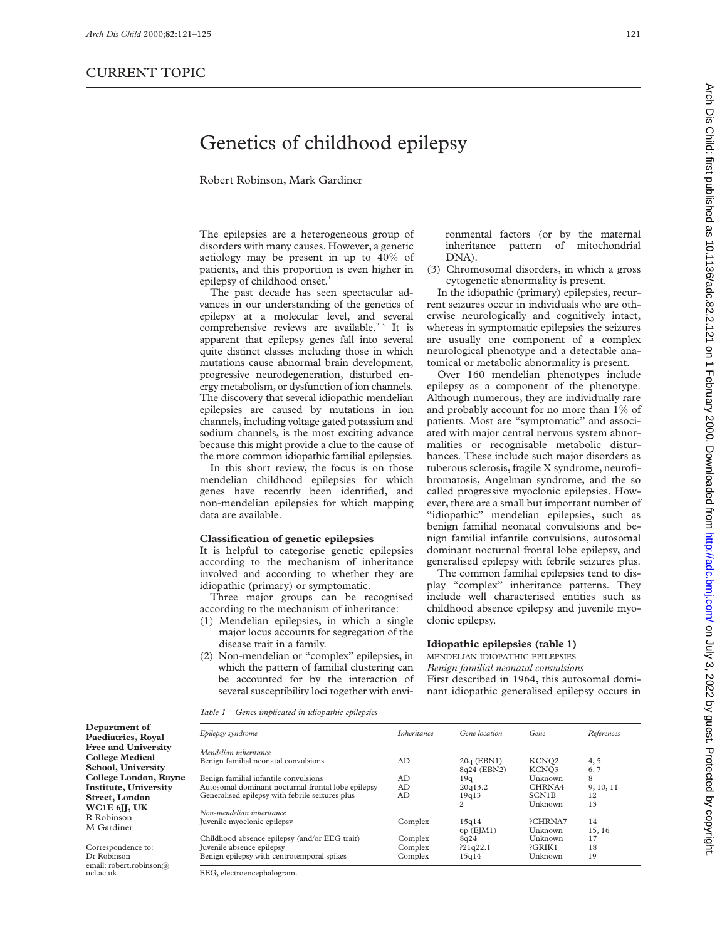# CURRENT TOPIC

# Genetics of childhood epilepsy

Robert Robinson, Mark Gardiner

The epilepsies are a heterogeneous group of disorders with many causes. However, a genetic aetiology may be present in up to 40% of patients, and this proportion is even higher in epilepsy of childhood onset.<sup>1</sup>

The past decade has seen spectacular advances in our understanding of the genetics of epilepsy at a molecular level, and several comprehensive reviews are available.<sup>23</sup> It is apparent that epilepsy genes fall into several quite distinct classes including those in which mutations cause abnormal brain development, progressive neurodegeneration, disturbed energy metabolism, or dysfunction of ion channels. The discovery that several idiopathic mendelian epilepsies are caused by mutations in ion channels, including voltage gated potassium and sodium channels, is the most exciting advance because this might provide a clue to the cause of the more common idiopathic familial epilepsies.

In this short review, the focus is on those mendelian childhood epilepsies for which genes have recently been identified, and non-mendelian epilepsies for which mapping data are available.

#### **Classification of genetic epilepsies**

It is helpful to categorise genetic epilepsies according to the mechanism of inheritance involved and according to whether they are idiopathic (primary) or symptomatic.

Three major groups can be recognised according to the mechanism of inheritance:

- (1) Mendelian epilepsies, in which a single major locus accounts for segregation of the disease trait in a family.
- (2) Non-mendelian or "complex" epilepsies, in which the pattern of familial clustering can be accounted for by the interaction of several susceptibility loci together with envi-

ronmental factors (or by the maternal inheritance pattern of mitochondrial DNA).

(3) Chromosomal disorders, in which a gross cytogenetic abnormality is present.

In the idiopathic (primary) epilepsies, recurrent seizures occur in individuals who are otherwise neurologically and cognitively intact, whereas in symptomatic epilepsies the seizures are usually one component of a complex neurological phenotype and a detectable anatomical or metabolic abnormality is present.

Over 160 mendelian phenotypes include epilepsy as a component of the phenotype. Although numerous, they are individually rare and probably account for no more than 1% of patients. Most are "symptomatic" and associated with major central nervous system abnormalities or recognisable metabolic disturbances. These include such major disorders as tuberous sclerosis, fragile X syndrome, neurofibromatosis, Angelman syndrome, and the so called progressive myoclonic epilepsies. However, there are a small but important number of "idiopathic" mendelian epilepsies, such as benign familial neonatal convulsions and benign familial infantile convulsions, autosomal dominant nocturnal frontal lobe epilepsy, and generalised epilepsy with febrile seizures plus.

The common familial epilepsies tend to display "complex" inheritance patterns. They include well characterised entities such as childhood absence epilepsy and juvenile myoclonic epilepsy.

## **Idiopathic epilepsies (table 1)**

MENDELIAN IDIOPATHIC EPILEPSIES *Benign familial neonatal convulsions* First described in 1964, this autosomal dominant idiopathic generalised epilepsy occurs in

*Table 1 Genes implicated in idiopathic epilepsies*

|                                                          | Epilepsy syndrome                                  | Inheritance | Gene location | Gene              | References |
|----------------------------------------------------------|----------------------------------------------------|-------------|---------------|-------------------|------------|
| Paediatrics, Royal                                       |                                                    |             |               |                   |            |
| <b>Free and University</b>                               | Mendelian inheritance                              |             |               |                   |            |
| <b>College Medical</b>                                   | Benign familial neonatal convulsions               | AD          | 20q (EBN1)    | KCNO <sub>2</sub> | 4, 5       |
| <b>School, University</b>                                |                                                    |             | 8q24 (EBN2)   | KCNO3             | 6, 7       |
| College London, Rayne                                    | Benign familial infantile convulsions              | AD          | 19q           | Unknown           | 8          |
| <b>Institute, University</b>                             | Autosomal dominant nocturnal frontal lobe epilepsy | AD          | 20q13.2       | CHRNA4            | 9, 10, 11  |
| Street, London                                           | Generalised epilepsy with febrile seizures plus    | AD          | 19q13         | SCN1B             | 12         |
| WC1E 6II, UK                                             |                                                    |             |               | Unknown           | 13         |
| R Robinson                                               | Non-mendelian inheritance                          |             |               |                   |            |
|                                                          | Juvenile myoclonic epilepsy                        | Complex     | 15a14         | ?CHRNA7           | 14         |
| M Gardiner                                               |                                                    |             | $6p$ (EJM1)   | Unknown           | 15, 16     |
|                                                          | Childhood absence epilepsy (and/or EEG trait)      | Complex     | 8a24          | Unknown           | 17         |
| Correspondence to:                                       | Juvenile absence epilepsy                          | Complex     | ?21q22.1      | ?GRIK1            | 18         |
| Dr Robinson<br>and the second control of the second con- | Benign epilepsy with centrotemporal spikes         | Complex     | 15q14         | Unknown           | 19         |

EEG, electroencephalogram.

**Department of Paediatrics, Royal Free and University College Medical School, University**

ucl.ac.uk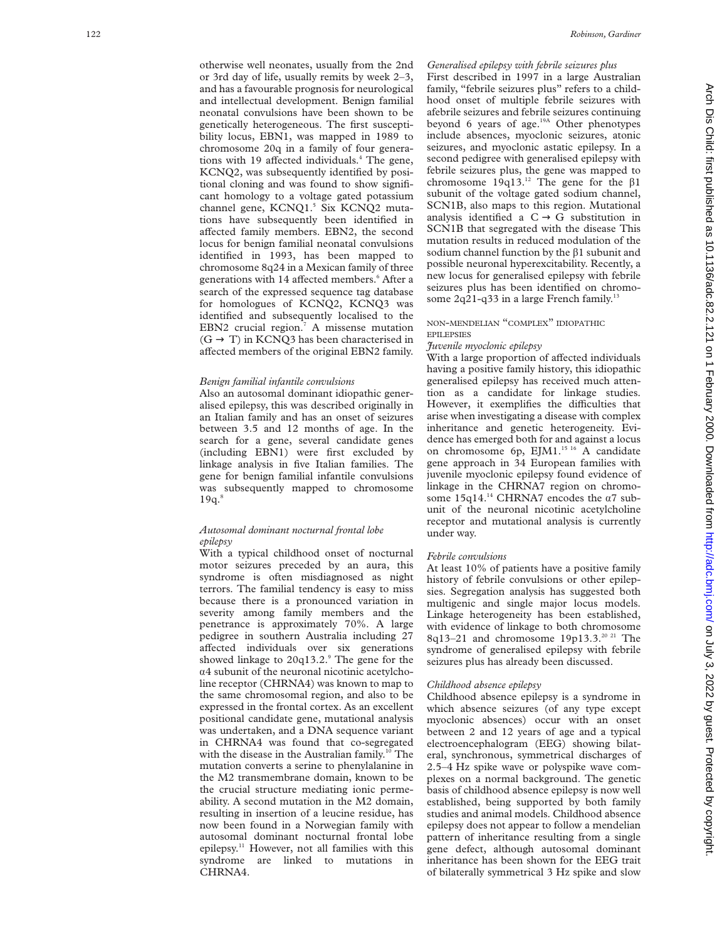otherwise well neonates, usually from the 2nd or 3rd day of life, usually remits by week 2–3, and has a favourable prognosis for neurological and intellectual development. Benign familial neonatal convulsions have been shown to be genetically heterogeneous. The first susceptibility locus, EBN1, was mapped in 1989 to chromosome 20q in a family of four generations with 19 affected individuals. $4$  The gene, KCNQ2, was subsequently identified by positional cloning and was found to show significant homology to a voltage gated potassium channel gene, KCNQ1. <sup>5</sup> Six KCNQ2 mutations have subsequently been identified in affected family members. EBN2, the second locus for benign familial neonatal convulsions identified in 1993, has been mapped to chromosome 8q24 in a Mexican family of three generations with 14 affected members.<sup>6</sup> After a search of the expressed sequence tag database for homologues of KCNQ2, KCNQ3 was identified and subsequently localised to the EBN2 crucial region. <sup>7</sup> A missense mutation  $(G \rightarrow T)$  in KCNQ3 has been characterised in affected members of the original EBN2 family.

#### *Benign familial infantile convulsions*

Also an autosomal dominant idiopathic generalised epilepsy, this was described originally in an Italian family and has an onset of seizures between 3.5 and 12 months of age. In the search for a gene, several candidate genes (including EBN1) were first excluded by linkage analysis in five Italian families. The gene for benign familial infantile convulsions was subsequently mapped to chromosome 19q.<sup>8</sup>

## *Autosomal dominant nocturnal frontal lobe epilepsy*

With a typical childhood onset of nocturnal motor seizures preceded by an aura, this syndrome is often misdiagnosed as night terrors. The familial tendency is easy to miss because there is a pronounced variation in severity among family members and the penetrance is approximately 70%. A large pedigree in southern Australia including 27 affected individuals over six generations showed linkage to 20q13.2. <sup>9</sup> The gene for the á4 subunit of the neuronal nicotinic acetylcholine receptor (CHRNA4) was known to map to the same chromosomal region, and also to be expressed in the frontal cortex. As an excellent positional candidate gene, mutational analysis was undertaken, and a DNA sequence variant in CHRNA4 was found that co-segregated with the disease in the Australian family.<sup>10</sup> The mutation converts a serine to phenylalanine in the M2 transmembrane domain, known to be the crucial structure mediating ionic permeability. A second mutation in the M2 domain, resulting in insertion of a leucine residue, has now been found in a Norwegian family with autosomal dominant nocturnal frontal lobe epilepsy.11 However, not all families with this syndrome are linked to mutations in CHRNA4.

## *Generalised epilepsy with febrile seizures plus*

First described in 1997 in a large Australian family, "febrile seizures plus" refers to a childhood onset of multiple febrile seizures with afebrile seizures and febrile seizures continuing beyond 6 years of age.<sup>19A</sup> Other phenotypes include absences, myoclonic seizures, atonic seizures, and myoclonic astatic epilepsy. In a second pedigree with generalised epilepsy with febrile seizures plus, the gene was mapped to chromosome 19q13.<sup>12</sup> The gene for the  $\beta$ 1 subunit of the voltage gated sodium channel, SCN1B, also maps to this region. Mutational analysis identified a  $C \rightarrow G$  substitution in SCN1B that segregated with the disease This mutation results in reduced modulation of the sodium channel function by the  $\beta$ 1 subunit and possible neuronal hyperexcitability. Recently, a new locus for generalised epilepsy with febrile seizures plus has been identified on chromosome 2q21-q33 in a large French family.<sup>13</sup>

#### NON -MENDELIAN "COMPLEX " IDIOPATHIC EPILEPSIES

#### *Juvenile myoclonic epilepsy*

With a large proportion of affected individuals having a positive family history, this idiopathic generalised epilepsy has received much attention as a candidate for linkage studies. However, it exemplifies the difficulties that arise when investigating a disease with complex inheritance and genetic heterogeneity. Evidence has emerged both for and against a locus on chromosome 6p, EJM1.<sup>15 16</sup> A candidate gene approach in 34 European families with juvenile myoclonic epilepsy found evidence of linkage in the CHRNA7 region on chromosome 15q14.<sup>14</sup> CHRNA7 encodes the  $\alpha$ 7 subunit of the neuronal nicotinic acetylcholine receptor and mutational analysis is currently under way.

#### *Febrile convulsions*

At least 10% of patients have a positive family history of febrile convulsions or other epilepsies. Segregation analysis has suggested both multigenic and single major locus models. Linkage heterogeneity has been established, with evidence of linkage to both chromosome 8q13–21 and chromosome  $19p13.3.^{2021}$  The syndrome of generalised epilepsy with febrile seizures plus has already been discussed.

## *Childhood absence epilepsy*

Childhood absence epilepsy is a syndrome in which absence seizures (of any type except myoclonic absences) occur with an onset between 2 and 12 years of age and a typical electroencephalogram (EEG) showing bilateral, synchronous, symmetrical discharges of 2.5–4 Hz spike wave or polyspike wave complexes on a normal background. The genetic basis of childhood absence epilepsy is now well established, being supported by both family studies and animal models. Childhood absence epilepsy does not appear to follow a mendelian pattern of inheritance resulting from a single gene defect, although autosomal dominant inheritance has been shown for the EEG trait of bilaterally symmetrical 3 Hz spike and slow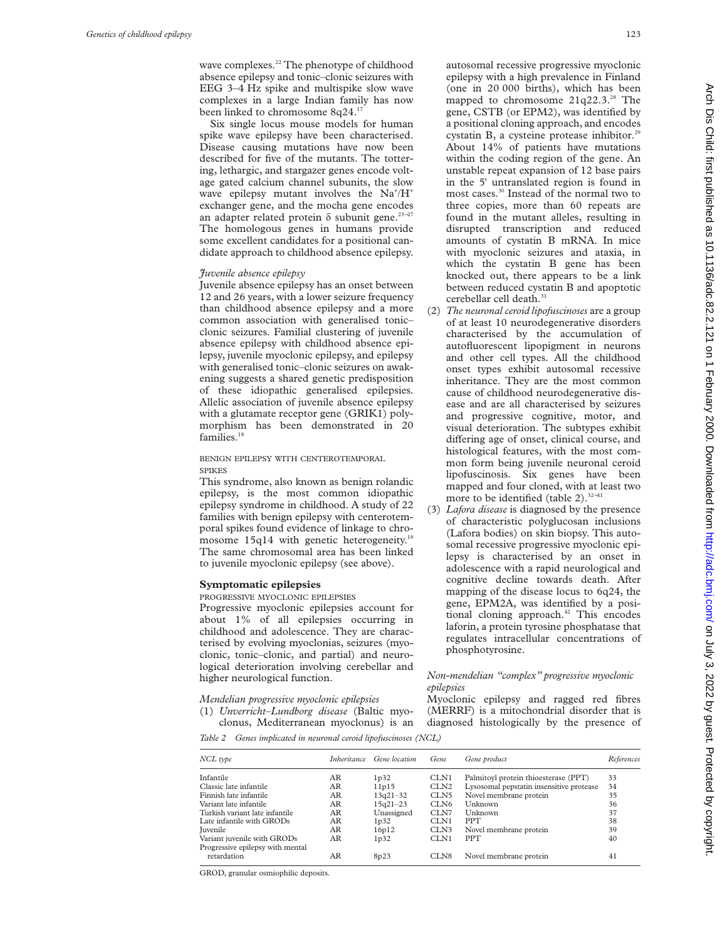wave complexes.<sup>22</sup> The phenotype of childhood absence epilepsy and tonic–clonic seizures with EEG 3–4 Hz spike and multispike slow wave complexes in a large Indian family has now been linked to chromosome 8q24.<sup>1</sup>

Six single locus mouse models for human spike wave epilepsy have been characterised. Disease causing mutations have now been described for five of the mutants. The tottering, lethargic, and stargazer genes encode voltage gated calcium channel subunits, the slow wave epilepsy mutant involves the  $Na^{\dagger}/H^{\dagger}$ exchanger gene, and the mocha gene encodes an adapter related protein  $\delta$  subunit gene.<sup>23−27</sup> The homologous genes in humans provide some excellent candidates for a positional candidate approach to childhood absence epilepsy.

## *Juvenile absence epilepsy*

Juvenile absence epilepsy has an onset between 12 and 26 years, with a lower seizure frequency than childhood absence epilepsy and a more common association with generalised tonic– clonic seizures. Familial clustering of juvenile absence epilepsy with childhood absence epilepsy, juvenile myoclonic epilepsy, and epilepsy with generalised tonic–clonic seizures on awakening suggests a shared genetic predisposition of these idiopathic generalised epilepsies. Allelic association of juvenile absence epilepsy with a glutamate receptor gene (GRIK1) polymorphism has been demonstrated in 20 families.<sup>18</sup>

## BENIGN EPILEPSY WITH CENTEROTEMPORAL SPIKES

This syndrome, also known as benign rolandic epilepsy, is the most common idiopathic epilepsy syndrome in childhood. A study of 22 families with benign epilepsy with centerotemporal spikes found evidence of linkage to chromosome 15q14 with genetic heterogeneity.<sup>19</sup> The same chromosomal area has been linked to juvenile myoclonic epilepsy (see above).

## **Symptomatic epilepsies**

PROGRESSIVE MYOCLONIC EPILEPSIES Progressive myoclonic epilepsies account for about 1% of all epilepsies occurring in childhood and adolescence. They are characterised by evolving myoclonias, seizures (myoclonic, tonic–clonic, and partial) and neurological deterioration involving cerebellar and higher neurological function.

### *Mendelian progressive myoclonic epilepsies*

- (1) *Unverricht–Lundborg disease* (Baltic myo-
- clonus, Mediterranean myoclonus) is an

*Table 2 Genes implicated in neuronal ceroid lipofuscinoses (NCL)*

| NCL type                         | Inheritance | Gene location | Gene             | Gene product                             | References |
|----------------------------------|-------------|---------------|------------------|------------------------------------------|------------|
| Infantile                        | AR          | 1p32          | CLN1             | Palmitoyl protein thioesterase (PPT)     | 33         |
| Classic late infantile           | AR          | 11p15         | CLN <sub>2</sub> | Lysosomal pepstatin insensitive protease | 34         |
| Finnish late infantile           | AR          | $13q21 - 32$  | CLN5             | Novel membrane protein                   | 35         |
| Variant late infantile           | AR          | $15q21 - 23$  | CLN <sub>6</sub> | Unknown                                  | 36         |
| Turkish variant late infantile   | AR          | Unassigned    | CLN7             | Unknown                                  | 37         |
| Late infantile with GRODs        | AR          | 1p32          | CLN1             | <b>PPT</b>                               | 38         |
| <b>Iuvenile</b>                  | AR          | 16p12         | CLN3             | Novel membrane protein                   | 39         |
| Variant juvenile with GRODs      | AR          | 1p32          | CLN1             | <b>PPT</b>                               | 40         |
| Progressive epilepsy with mental |             |               |                  |                                          |            |
| retardation                      | AR          | 8p23          | CLN <sub>8</sub> | Novel membrane protein                   | 41         |

GROD, granular osmiophilic deposits.

autosomal recessive progressive myoclonic epilepsy with a high prevalence in Finland (one in 20 000 births), which has been mapped to chromosome 21q22.3.<sup>28</sup> The gene, CSTB (or EPM2), was identified by a positional cloning approach, and encodes cystatin B, a cysteine protease inhibitor.<sup>29</sup> About 14% of patients have mutations within the coding region of the gene. An unstable repeat expansion of 12 base pairs in the 5' untranslated region is found in most cases.30 Instead of the normal two to three copies, more than 60 repeats are found in the mutant alleles, resulting in disrupted transcription and reduced amounts of cystatin B mRNA. In mice with myoclonic seizures and ataxia, in which the cystatin B gene has been knocked out, there appears to be a link between reduced cystatin B and apoptotic cerebellar cell death.<sup>31</sup>

- (2) *The neuronal ceroid lipofuscinoses* are a group of at least 10 neurodegenerative disorders characterised by the accumulation of autofluorescent lipopigment in neurons and other cell types. All the childhood onset types exhibit autosomal recessive inheritance. They are the most common cause of childhood neurodegenerative disease and are all characterised by seizures and progressive cognitive, motor, and visual deterioration. The subtypes exhibit differing age of onset, clinical course, and histological features, with the most common form being juvenile neuronal ceroid lipofuscinosis. Six genes have been mapped and four cloned, with at least two more to be identified (table 2). $32-41$
- (3) *Lafora disease* is diagnosed by the presence of characteristic polyglucosan inclusions (Lafora bodies) on skin biopsy. This autosomal recessive progressive myoclonic epilepsy is characterised by an onset in adolescence with a rapid neurological and cognitive decline towards death. After mapping of the disease locus to 6q24, the gene, EPM2A, was identified by a positional cloning approach.<sup>42</sup> This encodes laforin, a protein tyrosine phosphatase that regulates intracellular concentrations of phosphotyrosine.

## *Non-mendelian "complex" progressive myoclonic epilepsies*

Myoclonic epilepsy and ragged red fibres (MERRF) is a mitochondrial disorder that is diagnosed histologically by the presence of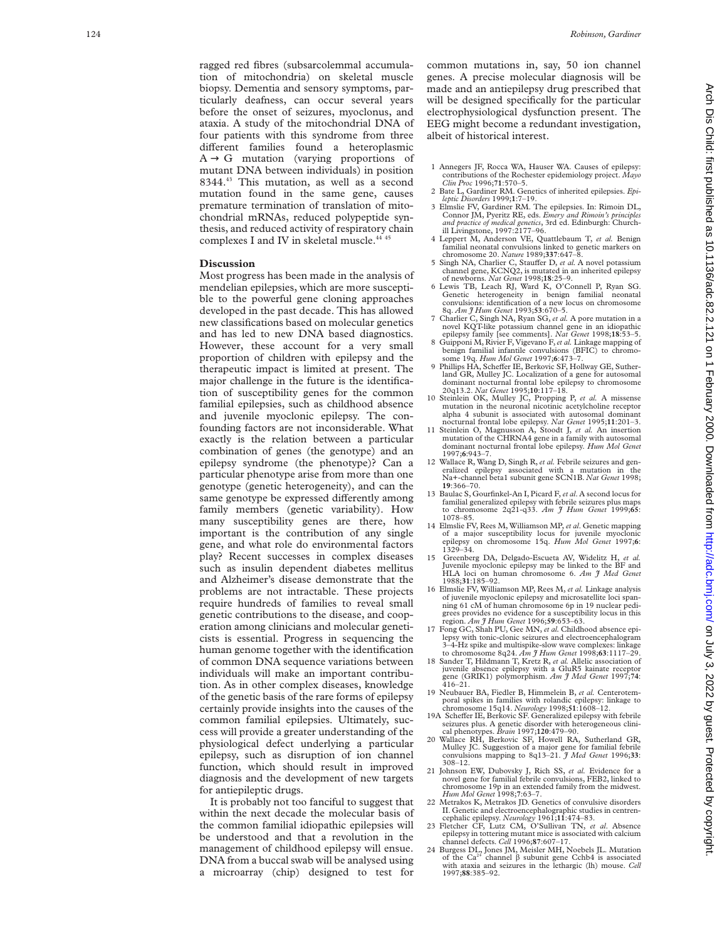ragged red fibres (subsarcolemmal accumulation of mitochondria) on skeletal muscle biopsy. Dementia and sensory symptoms, particularly deafness, can occur several years before the onset of seizures, myoclonus, and ataxia. A study of the mitochondrial DNA of four patients with this syndrome from three di Verent families found a heteroplasmic  $A \rightarrow G$  mutation (varying proportions of mutant DNA between individuals) in position 8344.43 This mutation, as well as a second mutation found in the same gene, causes premature termination of translation of mitochondrial mRNAs, reduced polypeptide synthesis, and reduced activity of respiratory chain complexes I and IV in skeletal muscle.<sup>44 45</sup>

#### **Discussion**

Most progress has been made in the analysis of mendelian epilepsies, which are more susceptible to the powerful gene cloning approaches developed in the past decade. This has allowed new classifications based on molecular genetics and has led to new DNA based diagnostics. However, these account for a very small proportion of children with epilepsy and the therapeutic impact is limited at present. The major challenge in the future is the identification of susceptibility genes for the common familial epilepsies, such as childhood absence and juvenile myoclonic epilepsy. The confounding factors are not inconsiderable. What exactly is the relation between a particular combination of genes (the genotype) and an epilepsy syndrome (the phenotype)? Can a particular phenotype arise from more than one genotype (genetic heterogeneity), and can the same genotype be expressed differently among family members (genetic variability). How many susceptibility genes are there, how important is the contribution of any single gene, and what role do environmental factors play? Recent successes in complex diseases such as insulin dependent diabetes mellitus and Alzheimer's disease demonstrate that the problems are not intractable. These projects require hundreds of families to reveal small genetic contributions to the disease, and cooperation among clinicians and molecular geneticists is essential. Progress in sequencing the human genome together with the identification of common DNA sequence variations between individuals will make an important contribution. As in other complex diseases, knowledge of the genetic basis of the rare forms of epilepsy certainly provide insights into the causes of the common familial epilepsies. Ultimately, success will provide a greater understanding of the physiological defect underlying a particular epilepsy, such as disruption of ion channel function, which should result in improved diagnosis and the development of new targets for antiepileptic drugs.

It is probably not too fanciful to suggest that within the next decade the molecular basis of the common familial idiopathic epilepsies will be understood and that a revolution in the management of childhood epilepsy will ensue. DNA from a buccal swab will be analysed using a microarray (chip) designed to test for

common mutations in, say, 50 ion channel genes. A precise molecular diagnosis will be made and an antiepilepsy drug prescribed that will be designed specifically for the particular electrophysiological dysfunction present. The EEG might become a redundant investigation, albeit of historical interest.

- 1 Annegers JF, Rocca WA, Hauser WA. Causes of epilepsy: contributions of the Rochester epidemiology project. *Mayo Clin Proc* 1996;**71**:570–5.
- 2 Bate L, Gardiner RM. Genetics of inherited epilepsies. *Epi-leptic Disorders* 1999;**1**:7–19.
- 3 Elmslie FV, Gardiner RM. The epilepsies. In: Rimoin DL, Connor JM, Pyeritz RE, eds. *Emery and Rimoin's principles and practice of medical genetics*, 3rd ed. Edinburgh: Church-ill Livingstone, 1997:2177–96.
- 4 Leppert M, Anderson VE, Quattlebaum T, *et al.* Benign familial neonatal convulsions linked to genetic markers on chromosome 20. *Nature* 1989;**337**:647–8.
- 5 Singh NA, Charlier C, Stauffer D, et al. A novel potassium channel gene, KCNQ2, is mutated in an inherited epilepsy of newborns. *Nat Genet* 1998;**18**:25–9.
- 6 Lewis TB, Leach RJ, Ward K, O'Connell P, Ryan SG. Genetic heterogeneity in benign familial neonatal convulsions: identification of a new locus on chromosome 8q. *Am J Hum Genet* 1993;**53**:670–5.
- 7 Charlier C, Singh NA, Ryan SG, *et al.* A pore mutation in a novel KQT-like potassium channel gene in an idiopathic epilepsy family [see comments]. *Nat Genet* 1998;**18**:53–5.
- 8 Guipponi M, Rivier F, Vigevano F,*et al.* Linkage mapping of benign familial infantile convulsions (BFIC) to chromo-
- some 19q. *Hum Mol Genet* 1997;6:473-7.<br>9 Phillips HA, Scheffer IE, Berkovic SF, Hollway GE, Sutherland GR, Mulley JC. Localization of a gene for autosomal dominant nocturnal frontal lobe epilepsy to chromosome 20q13.2. *Nat Genet* 1995;**10**:117–18.
- 10 Steinlein OK, Mulley JC, Propping P, *et al.* A missense mutation in the neuronal nicotinic acetylcholine receptor alpha 4 subunit is associated with autosomal dominant
- nocturnal frontal lobe epilepsy. *Nat Genet* 1995;**11**:201–3. 11 Steinlein O, Magnusson A, Stoodt J, *et al.* An insertion mutation of the CHRNA4 gene in a family with autosomal dominant nocturnal frontal lobe epilepsy. *Hum Mol Genet* 1997; **6**:943–7.
- 12 Wallace R, Wang D, Singh R, *et al.* Febrile seizures and generalized epilepsy associated with a mutation in Na+-channel beta1 subunit gene SCN1B. *Nat Genet* 1998; **19**:366–70.
- 13 Baulac S, Gourfinkel-An I, Picard F,*et al*. A second locus for familial generalized epilepsy with febrile seizures plus maps to chromosome 2q21-q33. *Am J Hum Genet* 1999;**65** : 1078–85.
- 14 Elmslie FV, Rees M, Williamson MP, *et al*. Genetic mapping of a major susceptibility locus for juvenile myoclonic epilepsy on chromosome 15q. *Hum Mol Genet* 1997; **6** : 1329–34.
- 15 Greenberg DA, Delgado-Escueta AV, Widelitz H, *et al.* Juvenile myoclonic epilepsy may be linked to the BF and HLA loci on human chromosome 6. *Am J Med Genet* 1988;**31**:185–92.
- 16 Elmslie FV, Williamson MP, Rees M, *et al.* Linkage analysis of juvenile myoclonic epilepsy and microsatellite loci span-ning 61 cM of human chromosome 6p in 19 nuclear pedigrees provides no evidence for a susceptibility locus in this region. *Am J Hum Genet* 1996;**59**:653–63.
- 17 Fong GC, Shah PU, Gee MN, *et al.* Childhood absence epilepsy with tonic-clonic seizures and electroencephalogram 3–4-Hz spike and multispike-slow wave complexes: linkage to chromosome 8q24. *Am J Hum Genet* 1998;**63**:1117–29.
- 18 Sander T, Hildmann T, Kretz R, *et al.* Allelic association of juvenile absence epilepsy with a GluR5 kainate receptor gene (GRIK1) polymorphism. *Am J Med Genet* 1997;**74** : 416–21.
- 19 Neubauer BA, Fiedler B, Himmelein B, *et al.* Centerotemporal spikes in families with rolandic epilepsy: linkage to chromosome 15q14. *Neurology* 1998;**51**:1608–12.
- 19A Scheffer IE, Berkovic SF. Generalized epilepsy with febrile seizures plus. A genetic disorder with heterogeneous clini-
- cal phenotypes. *Brain* 1997;**120**:479–90. 20 Wallace RH, Berkovic SF, Howell RA, Sutherland GR, Mulley JC. Suggestion of a major gene for familial febrile convulsions mapping to 8q13–21. *J Med Genet* 1996;**33** : 308–12.
- 21 Johnson EW, Dubovsky J, Rich SS, *et al.* Evidence for a novel gene for familial febrile convulsions, FEB2, linked to chromosome 19p in an extended family from the midwest. *Hum Mol Genet* 1998; **7**:63–7.
- 22 Metrakos K, Metrakos JD. Genetics of convulsive disorders II. Genetic and electroencephalographic studies in centren-cephalic epilepsy. *Neurology* 1961;**11**:474–83. 23 Fletcher CF, Lutz CM, O'Sullivan TN, *et al*. Absence
- epilepsy in tottering mutant mice is associated with calcium channel defects. *Cell* 1996;**87**:607–17.
- 24 Burgess DL, Jones JM, Meisler MH, Noebels JL. Mutation<br>of the Ca<sup>2+</sup> channel B subunit gene Cchh4 is associated of the Ca<sup>2+</sup> channel  $\beta$  subunit gene Cchb4 is associated with ataxia and seizures in the lethargic (lh) mouse. *Cell* 1997;**88**:385–92.